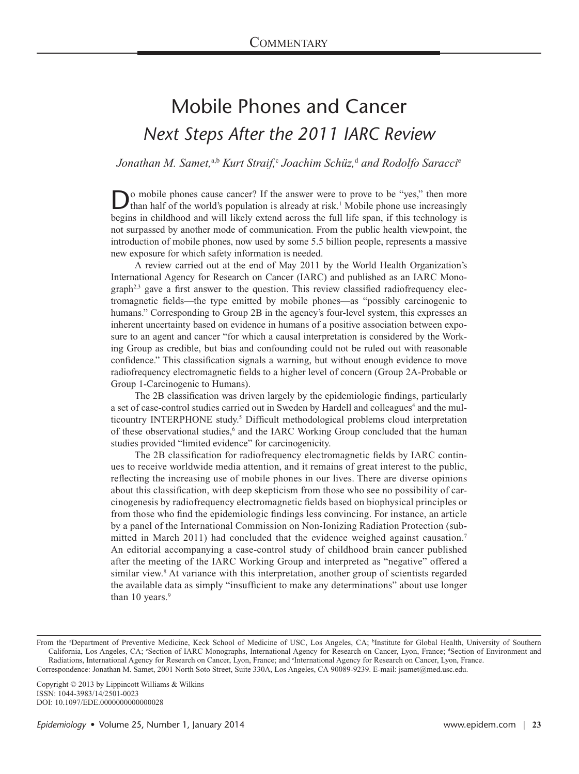# Mobile Phones and Cancer *Next Steps After the 2011 IARC Review*

# *Jonathan M. Samet,*a,b *Kurt Straif,*<sup>c</sup>  *Joachim Schüz,*<sup>d</sup>  *and Rodolfo Saracci*e

o mobile phones cause cancer? If the answer were to prove to be "yes," then more than half of the world's population is already at risk.<sup>1</sup> Mobile phone use increasingly begins in childhood and will likely extend across the full life span, if this technology is not surpassed by another mode of communication. From the public health viewpoint, the introduction of mobile phones, now used by some 5.5 billion people, represents a massive new exposure for which safety information is needed.

A review carried out at the end of May 2011 by the World Health Organization's International Agency for Research on Cancer (IARC) and published as an IARC Mono $graph<sup>2,3</sup>$  gave a first answer to the question. This review classified radiofrequency electromagnetic fields—the type emitted by mobile phones—as "possibly carcinogenic to humans." Corresponding to Group 2B in the agency's four-level system, this expresses an inherent uncertainty based on evidence in humans of a positive association between exposure to an agent and cancer "for which a causal interpretation is considered by the Working Group as credible, but bias and confounding could not be ruled out with reasonable confidence." This classification signals a warning, but without enough evidence to move radiofrequency electromagnetic fields to a higher level of concern (Group 2A-Probable or Group 1-Carcinogenic to Humans).

The 2B classification was driven largely by the epidemiologic findings, particularly a set of case-control studies carried out in Sweden by Hardell and colleagues<sup>4</sup> and the multicountry INTERPHONE study.<sup>5</sup> Difficult methodological problems cloud interpretation of these observational studies,<sup>6</sup> and the IARC Working Group concluded that the human studies provided "limited evidence" for carcinogenicity.

The 2B classification for radiofrequency electromagnetic fields by IARC continues to receive worldwide media attention, and it remains of great interest to the public, reflecting the increasing use of mobile phones in our lives. There are diverse opinions about this classification, with deep skepticism from those who see no possibility of carcinogenesis by radiofrequency electromagnetic fields based on biophysical principles or from those who find the epidemiologic findings less convincing. For instance, an article by a panel of the International Commission on Non-Ionizing Radiation Protection (submitted in March 2011) had concluded that the evidence weighed against causation.<sup>7</sup> An editorial accompanying a case-control study of childhood brain cancer published after the meeting of the IARC Working Group and interpreted as "negative" offered a similar view.<sup>8</sup> At variance with this interpretation, another group of scientists regarded the available data as simply "insufficient to make any determinations" about use longer than 10 years.<sup>9</sup>

Copyright © 2013 by Lippincott Williams & Wilkins ISSN: 1044-3983/14/2501-0023 DOI: 10.1097/EDE.0000000000000028

From the <sup>a</sup>Department of Preventive Medicine, Keck School of Medicine of USC, Los Angeles, CA; <sup>b</sup>Institute for Global Health, University of Southern California, Los Angeles, CA; 'Section of IARC Monographs, International Agency for Research on Cancer, Lyon, France; 'Section of Environment and Radiations, International Agency for Research on Cancer, Lyon, France; and <sup>e</sup>International Agency for Research on Cancer, Lyon, France. Correspondence: Jonathan M. Samet, 2001 North Soto Street, Suite 330A, Los Angeles, CA 90089-9239. E-mail: [jsamet@med.usc.edu.](mailto:jsamet@med.usc.edu)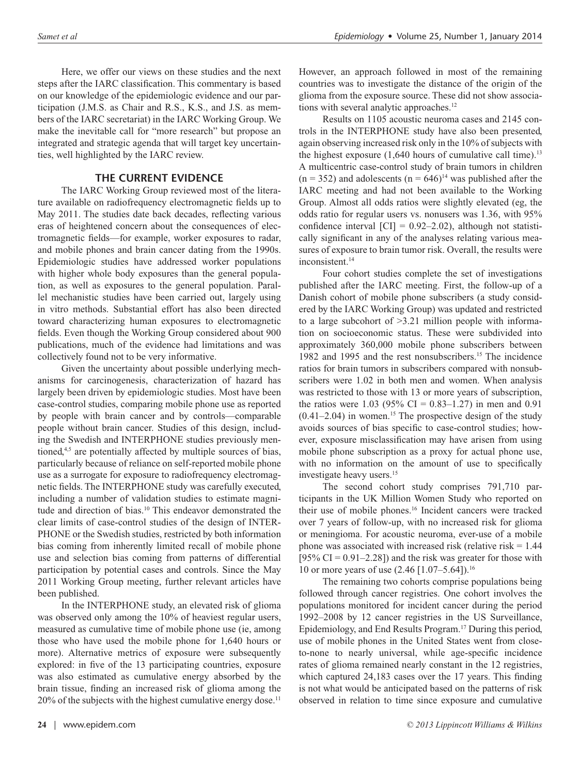Here, we offer our views on these studies and the next steps after the IARC classification. This commentary is based on our knowledge of the epidemiologic evidence and our participation (J.M.S. as Chair and R.S., K.S., and J.S. as members of the IARC secretariat) in the IARC Working Group. We make the inevitable call for "more research" but propose an integrated and strategic agenda that will target key uncertainties, well highlighted by the IARC review.

## **THE CURRENT EVIDENCE**

The IARC Working Group reviewed most of the literature available on radiofrequency electromagnetic fields up to May 2011. The studies date back decades, reflecting various eras of heightened concern about the consequences of electromagnetic fields—for example, worker exposures to radar, and mobile phones and brain cancer dating from the 1990s. Epidemiologic studies have addressed worker populations with higher whole body exposures than the general population, as well as exposures to the general population. Parallel mechanistic studies have been carried out, largely using in vitro methods. Substantial effort has also been directed toward characterizing human exposures to electromagnetic fields. Even though the Working Group considered about 900 publications, much of the evidence had limitations and was collectively found not to be very informative.

Given the uncertainty about possible underlying mechanisms for carcinogenesis, characterization of hazard has largely been driven by epidemiologic studies. Most have been case-control studies, comparing mobile phone use as reported by people with brain cancer and by controls—comparable people without brain cancer. Studies of this design, including the Swedish and INTERPHONE studies previously mentioned,<sup>4,5</sup> are potentially affected by multiple sources of bias, particularly because of reliance on self-reported mobile phone use as a surrogate for exposure to radiofrequency electromagnetic fields. The INTERPHONE study was carefully executed, including a number of validation studies to estimate magnitude and direction of bias.<sup>10</sup> This endeavor demonstrated the clear limits of case-control studies of the design of INTER-PHONE or the Swedish studies, restricted by both information bias coming from inherently limited recall of mobile phone use and selection bias coming from patterns of differential participation by potential cases and controls. Since the May 2011 Working Group meeting, further relevant articles have been published.

In the INTERPHONE study, an elevated risk of glioma was observed only among the 10% of heaviest regular users, measured as cumulative time of mobile phone use (ie, among those who have used the mobile phone for 1,640 hours or more). Alternative metrics of exposure were subsequently explored: in five of the 13 participating countries, exposure was also estimated as cumulative energy absorbed by the brain tissue, finding an increased risk of glioma among the 20% of the subjects with the highest cumulative energy dose.<sup>11</sup> However, an approach followed in most of the remaining countries was to investigate the distance of the origin of the glioma from the exposure source. These did not show associations with several analytic approaches.<sup>12</sup>

Results on 1105 acoustic neuroma cases and 2145 controls in the INTERPHONE study have also been presented, again observing increased risk only in the 10% of subjects with the highest exposure  $(1,640$  hours of cumulative call time).<sup>13</sup> A multicentric case-control study of brain tumors in children  $(n = 352)$  and adolescents  $(n = 646)^{14}$  was published after the IARC meeting and had not been available to the Working Group. Almost all odds ratios were slightly elevated (eg, the odds ratio for regular users vs. nonusers was 1.36, with 95% confidence interval  $\text{[CI]} = 0.92{\text -}2.02$ , although not statistically significant in any of the analyses relating various measures of exposure to brain tumor risk. Overall, the results were inconsistent.<sup>14</sup>

Four cohort studies complete the set of investigations published after the IARC meeting. First, the follow-up of a Danish cohort of mobile phone subscribers (a study considered by the IARC Working Group) was updated and restricted to a large subcohort of >3.21 million people with information on socioeconomic status. These were subdivided into approximately 360,000 mobile phone subscribers between 1982 and 1995 and the rest nonsubscribers.15 The incidence ratios for brain tumors in subscribers compared with nonsubscribers were 1.02 in both men and women. When analysis was restricted to those with 13 or more years of subscription, the ratios were 1.03 (95% CI =  $0.83-1.27$ ) in men and 0.91  $(0.41-2.04)$  in women.<sup>15</sup> The prospective design of the study avoids sources of bias specific to case-control studies; however, exposure misclassification may have arisen from using mobile phone subscription as a proxy for actual phone use, with no information on the amount of use to specifically investigate heavy users.<sup>15</sup>

The second cohort study comprises 791,710 participants in the UK Million Women Study who reported on their use of mobile phones.<sup>16</sup> Incident cancers were tracked over 7 years of follow-up, with no increased risk for glioma or meningioma. For acoustic neuroma, ever-use of a mobile phone was associated with increased risk (relative risk  $= 1.44$ )  $[95\% \text{ CI} = 0.91 - 2.28]$  and the risk was greater for those with 10 or more years of use (2.46 [1.07–5.64]).16

The remaining two cohorts comprise populations being followed through cancer registries. One cohort involves the populations monitored for incident cancer during the period 1992–2008 by 12 cancer registries in the US Surveillance, Epidemiology, and End Results Program.17 During this period, use of mobile phones in the United States went from closeto-none to nearly universal, while age-specific incidence rates of glioma remained nearly constant in the 12 registries, which captured 24,183 cases over the 17 years. This finding is not what would be anticipated based on the patterns of risk observed in relation to time since exposure and cumulative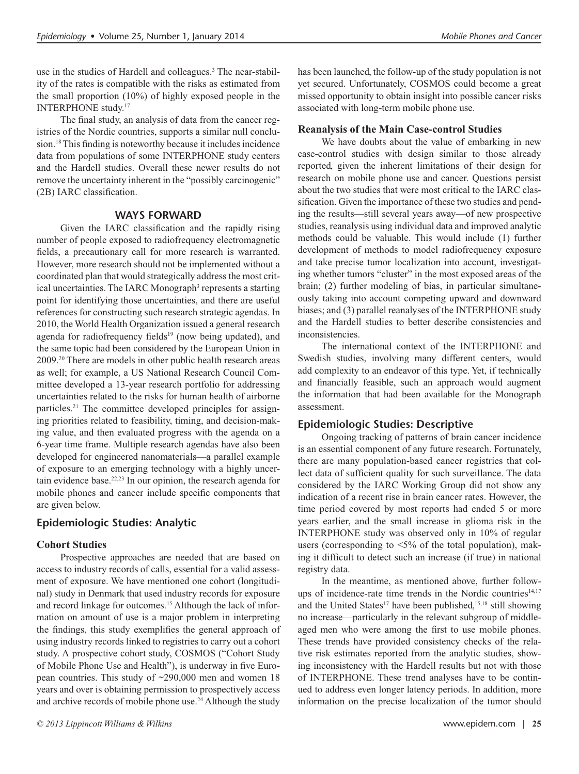use in the studies of Hardell and colleagues.<sup>3</sup> The near-stability of the rates is compatible with the risks as estimated from the small proportion (10%) of highly exposed people in the INTERPHONE study.17

The final study, an analysis of data from the cancer registries of the Nordic countries, supports a similar null conclusion.<sup>18</sup> This finding is noteworthy because it includes incidence data from populations of some INTERPHONE study centers and the Hardell studies. Overall these newer results do not remove the uncertainty inherent in the "possibly carcinogenic" (2B) IARC classification.

## **WAYS FORWARD**

Given the IARC classification and the rapidly rising number of people exposed to radiofrequency electromagnetic fields, a precautionary call for more research is warranted. However, more research should not be implemented without a coordinated plan that would strategically address the most critical uncertainties. The IARC Monograph<sup>3</sup> represents a starting point for identifying those uncertainties, and there are useful references for constructing such research strategic agendas. In 2010, the World Health Organization issued a general research agenda for radiofrequency fields<sup>19</sup> (now being updated), and the same topic had been considered by the European Union in 2009.20 There are models in other public health research areas as well; for example, a US National Research Council Committee developed a 13-year research portfolio for addressing uncertainties related to the risks for human health of airborne particles.<sup>21</sup> The committee developed principles for assigning priorities related to feasibility, timing, and decision-making value, and then evaluated progress with the agenda on a 6-year time frame. Multiple research agendas have also been developed for engineered nanomaterials—a parallel example of exposure to an emerging technology with a highly uncertain evidence base.22,23 In our opinion, the research agenda for mobile phones and cancer include specific components that are given below.

## **Epidemiologic Studies: Analytic**

## **Cohort Studies**

Prospective approaches are needed that are based on access to industry records of calls, essential for a valid assessment of exposure. We have mentioned one cohort (longitudinal) study in Denmark that used industry records for exposure and record linkage for outcomes.<sup>15</sup> Although the lack of information on amount of use is a major problem in interpreting the findings, this study exemplifies the general approach of using industry records linked to registries to carry out a cohort study. A prospective cohort study, COSMOS ("Cohort Study of Mobile Phone Use and Health"), is underway in five European countries. This study of ~290,000 men and women 18 years and over is obtaining permission to prospectively access and archive records of mobile phone use.<sup>24</sup> Although the study

has been launched, the follow-up of the study population is not yet secured. Unfortunately, COSMOS could become a great missed opportunity to obtain insight into possible cancer risks associated with long-term mobile phone use.

#### **Reanalysis of the Main Case-control Studies**

We have doubts about the value of embarking in new case-control studies with design similar to those already reported, given the inherent limitations of their design for research on mobile phone use and cancer. Questions persist about the two studies that were most critical to the IARC classification. Given the importance of these two studies and pending the results—still several years away—of new prospective studies, reanalysis using individual data and improved analytic methods could be valuable. This would include (1) further development of methods to model radiofrequency exposure and take precise tumor localization into account, investigating whether tumors "cluster" in the most exposed areas of the brain; (2) further modeling of bias, in particular simultaneously taking into account competing upward and downward biases; and (3) parallel reanalyses of the INTERPHONE study and the Hardell studies to better describe consistencies and inconsistencies.

The international context of the INTERPHONE and Swedish studies, involving many different centers, would add complexity to an endeavor of this type. Yet, if technically and financially feasible, such an approach would augment the information that had been available for the Monograph assessment.

## **Epidemiologic Studies: Descriptive**

Ongoing tracking of patterns of brain cancer incidence is an essential component of any future research. Fortunately, there are many population-based cancer registries that collect data of sufficient quality for such surveillance. The data considered by the IARC Working Group did not show any indication of a recent rise in brain cancer rates. However, the time period covered by most reports had ended 5 or more years earlier, and the small increase in glioma risk in the INTERPHONE study was observed only in 10% of regular users (corresponding to  $\leq 5\%$  of the total population), making it difficult to detect such an increase (if true) in national registry data.

In the meantime, as mentioned above, further followups of incidence-rate time trends in the Nordic countries<sup>14,17</sup> and the United States<sup>17</sup> have been published,<sup>15,18</sup> still showing no increase—particularly in the relevant subgroup of middleaged men who were among the first to use mobile phones. These trends have provided consistency checks of the relative risk estimates reported from the analytic studies, showing inconsistency with the Hardell results but not with those of INTERPHONE. These trend analyses have to be continued to address even longer latency periods. In addition, more information on the precise localization of the tumor should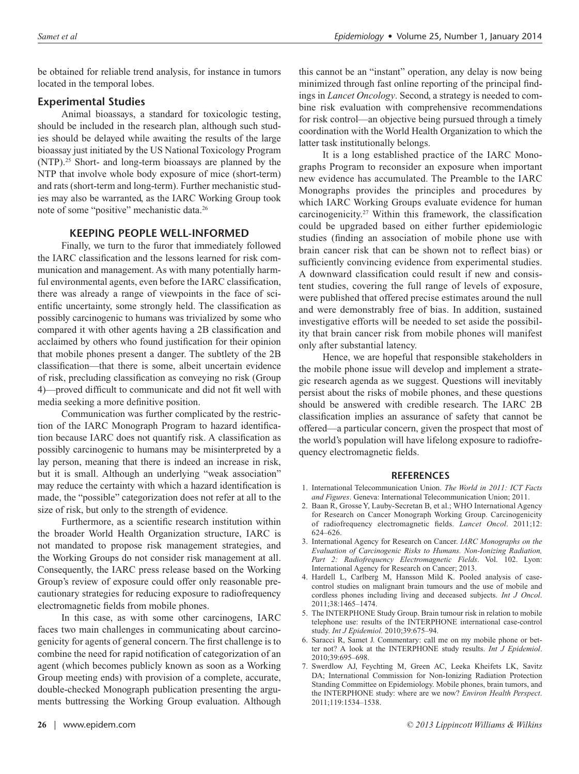be obtained for reliable trend analysis, for instance in tumors located in the temporal lobes.

# **Experimental Studies**

Animal bioassays, a standard for toxicologic testing, should be included in the research plan, although such studies should be delayed while awaiting the results of the large bioassay just initiated by the US National Toxicology Program (NTP).25 Short- and long-term bioassays are planned by the NTP that involve whole body exposure of mice (short-term) and rats (short-term and long-term). Further mechanistic studies may also be warranted, as the IARC Working Group took note of some "positive" mechanistic data.26

# **KEEPING PEOPLE WELL-INFORMED**

Finally, we turn to the furor that immediately followed the IARC classification and the lessons learned for risk communication and management. As with many potentially harmful environmental agents, even before the IARC classification, there was already a range of viewpoints in the face of scientific uncertainty, some strongly held. The classification as possibly carcinogenic to humans was trivialized by some who compared it with other agents having a 2B classification and acclaimed by others who found justification for their opinion that mobile phones present a danger. The subtlety of the 2B classification—that there is some, albeit uncertain evidence of risk, precluding classification as conveying no risk (Group 4)—proved difficult to communicate and did not fit well with media seeking a more definitive position.

Communication was further complicated by the restriction of the IARC Monograph Program to hazard identification because IARC does not quantify risk. A classification as possibly carcinogenic to humans may be misinterpreted by a lay person, meaning that there is indeed an increase in risk, but it is small. Although an underlying "weak association" may reduce the certainty with which a hazard identification is made, the "possible" categorization does not refer at all to the size of risk, but only to the strength of evidence.

Furthermore, as a scientific research institution within the broader World Health Organization structure, IARC is not mandated to propose risk management strategies, and the Working Groups do not consider risk management at all. Consequently, the IARC press release based on the Working Group's review of exposure could offer only reasonable precautionary strategies for reducing exposure to radiofrequency electromagnetic fields from mobile phones.

In this case, as with some other carcinogens, IARC faces two main challenges in communicating about carcinogenicity for agents of general concern. The first challenge is to combine the need for rapid notification of categorization of an agent (which becomes publicly known as soon as a Working Group meeting ends) with provision of a complete, accurate, double-checked Monograph publication presenting the arguments buttressing the Working Group evaluation. Although this cannot be an "instant" operation, any delay is now being minimized through fast online reporting of the principal findings in *Lancet Oncology*. Second, a strategy is needed to combine risk evaluation with comprehensive recommendations for risk control—an objective being pursued through a timely coordination with the World Health Organization to which the latter task institutionally belongs.

It is a long established practice of the IARC Monographs Program to reconsider an exposure when important new evidence has accumulated. The Preamble to the IARC Monographs provides the principles and procedures by which IARC Working Groups evaluate evidence for human carcinogenicity.27 Within this framework, the classification could be upgraded based on either further epidemiologic studies (finding an association of mobile phone use with brain cancer risk that can be shown not to reflect bias) or sufficiently convincing evidence from experimental studies. A downward classification could result if new and consistent studies, covering the full range of levels of exposure, were published that offered precise estimates around the null and were demonstrably free of bias. In addition, sustained investigative efforts will be needed to set aside the possibility that brain cancer risk from mobile phones will manifest only after substantial latency.

Hence, we are hopeful that responsible stakeholders in the mobile phone issue will develop and implement a strategic research agenda as we suggest. Questions will inevitably persist about the risks of mobile phones, and these questions should be answered with credible research. The IARC 2B classification implies an assurance of safety that cannot be offered—a particular concern, given the prospect that most of the world's population will have lifelong exposure to radiofrequency electromagnetic fields.

## **REFERENCES**

- 1. International Telecommunication Union. *The World in 2011: ICT Facts and Figures*. Geneva: International Telecommunication Union; 2011.
- 2. Baan R, Grosse Y, Lauby-Secretan B, et al.; WHO International Agency for Research on Cancer Monograph Working Group. Carcinogenicity of radiofrequency electromagnetic fields. *Lancet Oncol*. 2011;12: 624–626.
- 3. International Agency for Research on Cancer. *IARC Monographs on the Evaluation of Carcinogenic Risks to Humans. Non-Ionizing Radiation, Part 2: Radiofrequency Electromagnetic Fields*. Vol. 102. Lyon: International Agency for Research on Cancer; 2013.
- 4. Hardell L, Carlberg M, Hansson Mild K. Pooled analysis of casecontrol studies on malignant brain tumours and the use of mobile and cordless phones including living and deceased subjects. *Int J Oncol*. 2011;38:1465–1474.
- 5. The INTERPHONE Study Group. Brain tumour risk in relation to mobile telephone use: results of the INTERPHONE international case-control study. *Int J Epidemiol.* 2010;39:675–94.
- 6. Saracci R, Samet J. Commentary: call me on my mobile phone or better not? A look at the INTERPHONE study results. *Int J Epidemiol*. 2010;39:695–698.
- 7. Swerdlow AJ, Feychting M, Green AC, Leeka Kheifets LK, Savitz DA; International Commission for Non-Ionizing Radiation Protection Standing Committee on Epidemiology. Mobile phones, brain tumors, and the INTERPHONE study: where are we now? *Environ Health Perspect*. 2011;119:1534–1538.